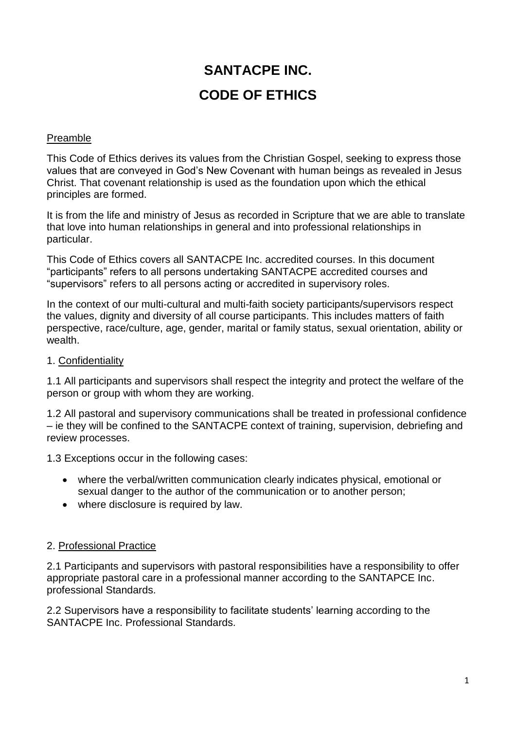# **SANTACPE INC. CODE OF ETHICS**

#### Preamble

This Code of Ethics derives its values from the Christian Gospel, seeking to express those values that are conveyed in God's New Covenant with human beings as revealed in Jesus Christ. That covenant relationship is used as the foundation upon which the ethical principles are formed.

It is from the life and ministry of Jesus as recorded in Scripture that we are able to translate that love into human relationships in general and into professional relationships in particular.

This Code of Ethics covers all SANTACPE Inc. accredited courses. In this document "participants" refers to all persons undertaking SANTACPE accredited courses and "supervisors" refers to all persons acting or accredited in supervisory roles.

In the context of our multi-cultural and multi-faith society participants/supervisors respect the values, dignity and diversity of all course participants. This includes matters of faith perspective, race/culture, age, gender, marital or family status, sexual orientation, ability or wealth.

### 1. Confidentiality

1.1 All participants and supervisors shall respect the integrity and protect the welfare of the person or group with whom they are working.

1.2 All pastoral and supervisory communications shall be treated in professional confidence – ie they will be confined to the SANTACPE context of training, supervision, debriefing and review processes.

1.3 Exceptions occur in the following cases:

- where the verbal/written communication clearly indicates physical, emotional or sexual danger to the author of the communication or to another person;
- where disclosure is required by law.

#### 2. Professional Practice

2.1 Participants and supervisors with pastoral responsibilities have a responsibility to offer appropriate pastoral care in a professional manner according to the SANTAPCE Inc. professional Standards.

2.2 Supervisors have a responsibility to facilitate students' learning according to the SANTACPE Inc. Professional Standards.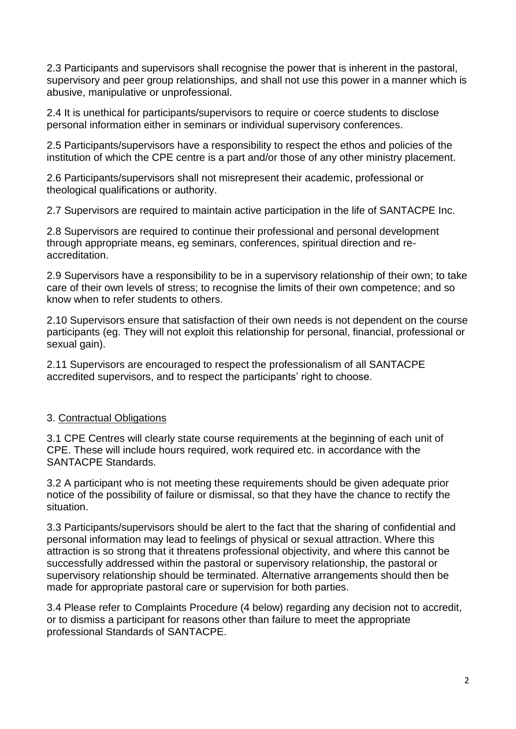2.3 Participants and supervisors shall recognise the power that is inherent in the pastoral, supervisory and peer group relationships, and shall not use this power in a manner which is abusive, manipulative or unprofessional.

2.4 It is unethical for participants/supervisors to require or coerce students to disclose personal information either in seminars or individual supervisory conferences.

2.5 Participants/supervisors have a responsibility to respect the ethos and policies of the institution of which the CPE centre is a part and/or those of any other ministry placement.

2.6 Participants/supervisors shall not misrepresent their academic, professional or theological qualifications or authority.

2.7 Supervisors are required to maintain active participation in the life of SANTACPE Inc.

2.8 Supervisors are required to continue their professional and personal development through appropriate means, eg seminars, conferences, spiritual direction and reaccreditation.

2.9 Supervisors have a responsibility to be in a supervisory relationship of their own; to take care of their own levels of stress; to recognise the limits of their own competence; and so know when to refer students to others.

2.10 Supervisors ensure that satisfaction of their own needs is not dependent on the course participants (eg. They will not exploit this relationship for personal, financial, professional or sexual gain).

2.11 Supervisors are encouraged to respect the professionalism of all SANTACPE accredited supervisors, and to respect the participants' right to choose.

## 3. Contractual Obligations

3.1 CPE Centres will clearly state course requirements at the beginning of each unit of CPE. These will include hours required, work required etc. in accordance with the SANTACPE Standards.

3.2 A participant who is not meeting these requirements should be given adequate prior notice of the possibility of failure or dismissal, so that they have the chance to rectify the situation.

3.3 Participants/supervisors should be alert to the fact that the sharing of confidential and personal information may lead to feelings of physical or sexual attraction. Where this attraction is so strong that it threatens professional objectivity, and where this cannot be successfully addressed within the pastoral or supervisory relationship, the pastoral or supervisory relationship should be terminated. Alternative arrangements should then be made for appropriate pastoral care or supervision for both parties.

3.4 Please refer to Complaints Procedure (4 below) regarding any decision not to accredit, or to dismiss a participant for reasons other than failure to meet the appropriate professional Standards of SANTACPE.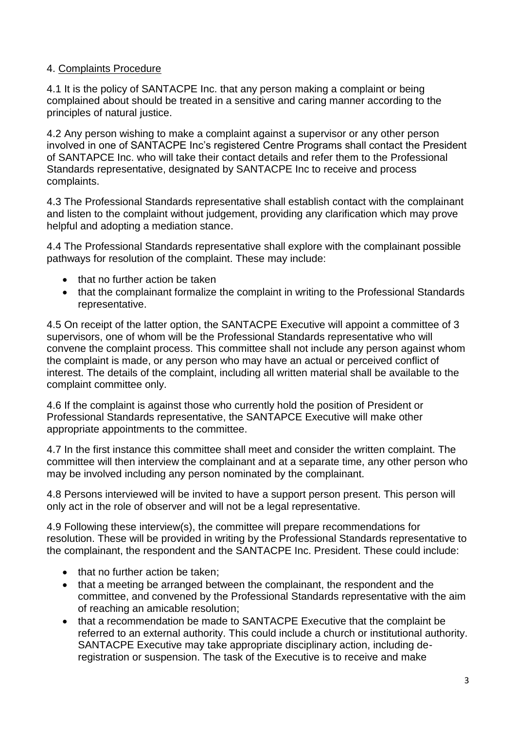## 4. Complaints Procedure

4.1 It is the policy of SANTACPE Inc. that any person making a complaint or being complained about should be treated in a sensitive and caring manner according to the principles of natural justice.

4.2 Any person wishing to make a complaint against a supervisor or any other person involved in one of SANTACPE Inc's registered Centre Programs shall contact the President of SANTAPCE Inc. who will take their contact details and refer them to the Professional Standards representative, designated by SANTACPE Inc to receive and process complaints.

4.3 The Professional Standards representative shall establish contact with the complainant and listen to the complaint without judgement, providing any clarification which may prove helpful and adopting a mediation stance.

4.4 The Professional Standards representative shall explore with the complainant possible pathways for resolution of the complaint. These may include:

- that no further action be taken
- that the complainant formalize the complaint in writing to the Professional Standards representative.

4.5 On receipt of the latter option, the SANTACPE Executive will appoint a committee of 3 supervisors, one of whom will be the Professional Standards representative who will convene the complaint process. This committee shall not include any person against whom the complaint is made, or any person who may have an actual or perceived conflict of interest. The details of the complaint, including all written material shall be available to the complaint committee only.

4.6 If the complaint is against those who currently hold the position of President or Professional Standards representative, the SANTAPCE Executive will make other appropriate appointments to the committee.

4.7 In the first instance this committee shall meet and consider the written complaint. The committee will then interview the complainant and at a separate time, any other person who may be involved including any person nominated by the complainant.

4.8 Persons interviewed will be invited to have a support person present. This person will only act in the role of observer and will not be a legal representative.

4.9 Following these interview(s), the committee will prepare recommendations for resolution. These will be provided in writing by the Professional Standards representative to the complainant, the respondent and the SANTACPE Inc. President. These could include:

- $\bullet$  that no further action be taken:
- that a meeting be arranged between the complainant, the respondent and the committee, and convened by the Professional Standards representative with the aim of reaching an amicable resolution;
- that a recommendation be made to SANTACPE Executive that the complaint be referred to an external authority. This could include a church or institutional authority. SANTACPE Executive may take appropriate disciplinary action, including deregistration or suspension. The task of the Executive is to receive and make